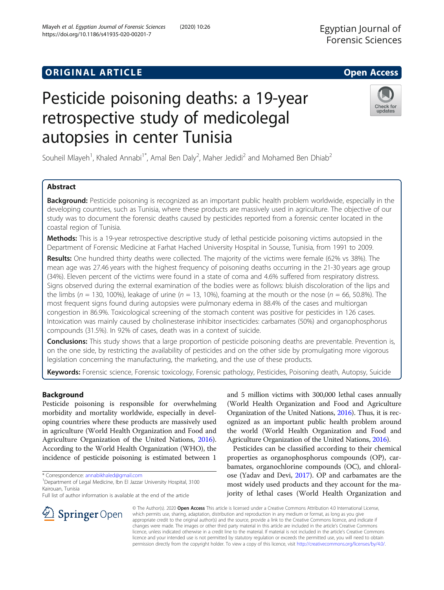## **ORIGINAL ARTICLE CONSERVERSITY OF ACCESS**

# Pesticide poisoning deaths: a 19-year retrospective study of medicolegal autopsies in center Tunisia

Souheil Mlayeh<sup>1</sup>, Khaled Annabi<sup>1\*</sup>, Amal Ben Daly<sup>2</sup>, Maher Jedidi<sup>2</sup> and Mohamed Ben Dhiab<sup>2</sup>

## Abstract

Background: Pesticide poisoning is recognized as an important public health problem worldwide, especially in the developing countries, such as Tunisia, where these products are massively used in agriculture. The objective of our study was to document the forensic deaths caused by pesticides reported from a forensic center located in the coastal region of Tunisia.

Methods: This is a 19-year retrospective descriptive study of lethal pesticide poisoning victims autopsied in the Department of Forensic Medicine at Farhat Hached University Hospital in Sousse, Tunisia, from 1991 to 2009.

Results: One hundred thirty deaths were collected. The majority of the victims were female (62% vs 38%). The mean age was 27.46 years with the highest frequency of poisoning deaths occurring in the 21-30 years age group (34%). Eleven percent of the victims were found in a state of coma and 4.6% suffered from respiratory distress. Signs observed during the external examination of the bodies were as follows: bluish discoloration of the lips and the limbs ( $n = 130$ , 100%), leakage of urine ( $n = 13$ , 10%), foaming at the mouth or the nose ( $n = 66$ , 50.8%). The most frequent signs found during autopsies were pulmonary edema in 88.4% of the cases and multiorgan congestion in 86.9%. Toxicological screening of the stomach content was positive for pesticides in 126 cases. Intoxication was mainly caused by cholinesterase inhibitor insecticides: carbamates (50%) and organophosphorus compounds (31.5%). In 92% of cases, death was in a context of suicide.

**Conclusions:** This study shows that a large proportion of pesticide poisoning deaths are preventable. Prevention is, on the one side, by restricting the availability of pesticides and on the other side by promulgating more vigorous legislation concerning the manufacturing, the marketing, and the use of these products.

Keywords: Forensic science, Forensic toxicology, Forensic pathology, Pesticides, Poisoning death, Autopsy, Suicide

## Background

Pesticide poisoning is responsible for overwhelming morbidity and mortality worldwide, especially in developing countries where these products are massively used in agriculture (World Health Organization and Food and Agriculture Organization of the United Nations, [2016](#page-5-0)). According to the World Health Organization (WHO), the incidence of pesticide poisoning is estimated between 1

\* Correspondence: [annabikhaled@gmail.com](mailto:annabikhaled@gmail.com) <sup>1</sup>

 $\Delta$  Springer Open

<sup>1</sup> Department of Legal Medicine, Ibn El Jazzar University Hospital, 3100 Kairouan, Tunisia

Full list of author information is available at the end of the article

and 5 million victims with 300,000 lethal cases annually (World Health Organization and Food and Agriculture Organization of the United Nations, [2016\)](#page-5-0). Thus, it is recognized as an important public health problem around the world (World Health Organization and Food and Agriculture Organization of the United Nations, [2016](#page-5-0)).

Pesticides can be classified according to their chemical properties as organophosphorus compounds (OP), carbamates, organochlorine compounds (OC), and chloralose (Yadav and Devi, [2017\)](#page-5-0). OP and carbamates are the most widely used products and they account for the majority of lethal cases (World Health Organization and

© The Author(s). 2020 Open Access This article is licensed under a Creative Commons Attribution 4.0 International License, which permits use, sharing, adaptation, distribution and reproduction in any medium or format, as long as you give appropriate credit to the original author(s) and the source, provide a link to the Creative Commons licence, and indicate if changes were made. The images or other third party material in this article are included in the article's Creative Commons licence, unless indicated otherwise in a credit line to the material. If material is not included in the article's Creative Commons licence and your intended use is not permitted by statutory regulation or exceeds the permitted use, you will need to obtain permission directly from the copyright holder. To view a copy of this licence, visit <http://creativecommons.org/licenses/by/4.0/>.





updates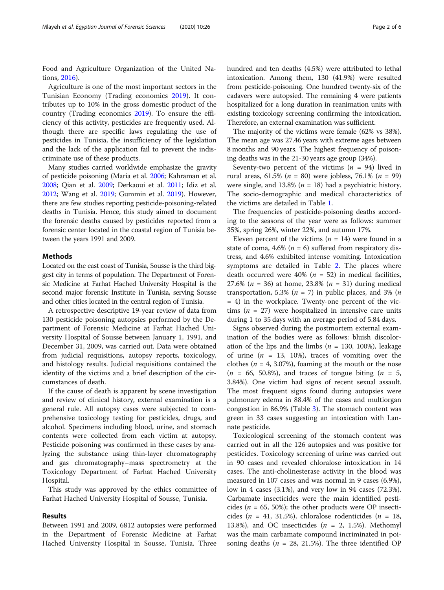Food and Agriculture Organization of the United Nations, [2016](#page-5-0)).

Agriculture is one of the most important sectors in the Tunisian Economy (Trading economics [2019](#page-5-0)). It contributes up to 10% in the gross domestic product of the country (Trading economics [2019\)](#page-5-0). To ensure the efficiency of this activity, pesticides are frequently used. Although there are specific laws regulating the use of pesticides in Tunisia, the insufficiency of the legislation and the lack of the application fail to prevent the indiscriminate use of these products.

Many studies carried worldwide emphasize the gravity of pesticide poisoning (Maria et al. [2006;](#page-5-0) Kahraman et al. [2008;](#page-5-0) Qian et al. [2009](#page-5-0); Derkaoui et al. [2011;](#page-5-0) Idiz et al. [2012;](#page-5-0) Wang et al. [2019;](#page-5-0) Gummin et al. [2019](#page-5-0)). However, there are few studies reporting pesticide-poisoning-related deaths in Tunisia. Hence, this study aimed to document the forensic deaths caused by pesticides reported from a forensic center located in the coastal region of Tunisia between the years 1991 and 2009.

## Methods

Located on the east coast of Tunisia, Sousse is the third biggest city in terms of population. The Department of Forensic Medicine at Farhat Hached University Hospital is the second major forensic Institute in Tunisia, serving Sousse and other cities located in the central region of Tunisia.

A retrospective descriptive 19-year review of data from 130 pesticide poisoning autopsies performed by the Department of Forensic Medicine at Farhat Hached University Hospital of Sousse between January 1, 1991, and December 31, 2009, was carried out. Data were obtained from judicial requisitions, autopsy reports, toxicology, and histology results. Judicial requisitions contained the identity of the victims and a brief description of the circumstances of death.

If the cause of death is apparent by scene investigation and review of clinical history, external examination is a general rule. All autopsy cases were subjected to comprehensive toxicology testing for pesticides, drugs, and alcohol. Specimens including blood, urine, and stomach contents were collected from each victim at autopsy. Pesticide poisoning was confirmed in these cases by analyzing the substance using thin-layer chromatography and gas chromatography–mass spectrometry at the Toxicology Department of Farhat Hached University Hospital.

This study was approved by the ethics committee of Farhat Hached University Hospital of Sousse, Tunisia.

#### Results

Between 1991 and 2009, 6812 autopsies were performed in the Department of Forensic Medicine at Farhat Hached University Hospital in Sousse, Tunisia. Three hundred and ten deaths (4.5%) were attributed to lethal intoxication. Among them, 130 (41.9%) were resulted from pesticide-poisoning. One hundred twenty-six of the cadavers were autopsied. The remaining 4 were patients hospitalized for a long duration in reanimation units with existing toxicology screening confirming the intoxication. Therefore, an external examination was sufficient.

The majority of the victims were female (62% vs 38%). The mean age was 27.46 years with extreme ages between 8 months and 90 years. The highest frequency of poisoning deaths was in the 21-30 years age group (34%).

Seventy-two percent of the victims  $(n = 94)$  lived in rural areas, 61.5% ( $n = 80$ ) were jobless, 76.1% ( $n = 99$ ) were single, and 13.8% ( $n = 18$ ) had a psychiatric history. The socio-demographic and medical characteristics of the victims are detailed in Table [1.](#page-2-0)

The frequencies of pesticide-poisoning deaths according to the seasons of the year were as follows: summer 35%, spring 26%, winter 22%, and autumn 17%.

Eleven percent of the victims ( $n = 14$ ) were found in a state of coma, 4.6% ( $n = 6$ ) suffered from respiratory distress, and 4.6% exhibited intense vomiting. Intoxication symptoms are detailed in Table [2](#page-2-0). The places where death occurred were 40% ( $n = 52$ ) in medical facilities, 27.6% ( $n = 36$ ) at home, 23.8% ( $n = 31$ ) during medical transportation, 5.3% ( $n = 7$ ) in public places, and 3% ( $n = 1$ )  $= 4$ ) in the workplace. Twenty-one percent of the victims ( $n = 27$ ) were hospitalized in intensive care units during 1 to 35 days with an average period of 5.84 days.

Signs observed during the postmortem external examination of the bodies were as follows: bluish discoloration of the lips and the limbs ( $n = 130, 100\%$ ), leakage of urine  $(n = 13, 10\%)$ , traces of vomiting over the clothes ( $n = 4$ , 3.07%), foaming at the mouth or the nose  $(n = 66, 50.8\%)$ , and traces of tongue biting  $(n = 5,$ 3.84%). One victim had signs of recent sexual assault. The most frequent signs found during autopsies were pulmonary edema in 88.4% of the cases and multiorgan congestion in 86.9% (Table [3](#page-2-0)). The stomach content was green in 33 cases suggesting an intoxication with Lannate pesticide.

Toxicological screening of the stomach content was carried out in all the 126 autopsies and was positive for pesticides. Toxicology screening of urine was carried out in 90 cases and revealed chloralose intoxication in 14 cases. The anti-cholinesterase activity in the blood was measured in 107 cases and was normal in 9 cases (6.9%), low in 4 cases (3.1%), and very low in 94 cases (72.3%). Carbamate insecticides were the main identified pesticides ( $n = 65$ , 50%); the other products were OP insecticides ( $n = 41, 31.5\%$ ), chloralose rodenticides ( $n = 18$ , 13.8%), and OC insecticides ( $n = 2$ , 1.5%). Methomyl was the main carbamate compound incriminated in poisoning deaths ( $n = 28$ , 21.5%). The three identified OP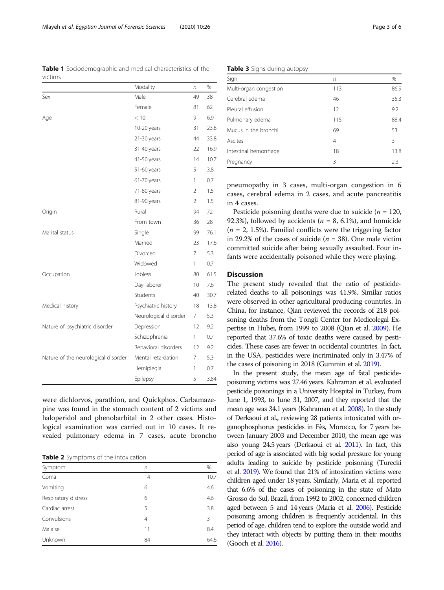were dichlorvos, parathion, and Quickphos. Carbamazepine was found in the stomach content of 2 victims and haloperidol and phenobarbital in 2 other cases. Histological examination was carried out in 10 cases. It revealed pulmonary edema in 7 cases, acute broncho

Table 2 Symptoms of the intoxication

| Symptom              | n  | %    |
|----------------------|----|------|
| Coma                 | 14 | 10.7 |
| Vomiting             | 6  | 4.6  |
| Respiratory distress | 6  | 4.6  |
| Cardiac arrest       | 5  | 3.8  |
| Convulsions          | 4  | 3    |
| Malaise              | 11 | 8.4  |
| Unknown              | 84 | 64.6 |
|                      |    |      |

Table 3 Signs during autopsy

| Sign                   | n   | $\%$ |
|------------------------|-----|------|
| Multi-organ congestion | 113 | 86.9 |
| Cerebral edema         | 46  | 35.3 |
| Pleural effusion       | 12  | 9.2  |
| Pulmonary edema        | 115 | 88.4 |
| Mucus in the bronchi   | 69  | 53   |
| Ascites                | 4   | 3    |
| Intestinal hemorrhage  | 18  | 13.8 |
| Pregnancy              | ξ   | フ3   |

pneumopathy in 3 cases, multi-organ congestion in 6 cases, cerebral edema in 2 cases, and acute pancreatitis in 4 cases.

Pesticide poisoning deaths were due to suicide ( $n = 120$ , 92.3%), followed by accidents ( $n = 8$ , 6.1%), and homicide  $(n = 2, 1.5\%)$ . Familial conflicts were the triggering factor in 29.2% of the cases of suicide ( $n = 38$ ). One male victim committed suicide after being sexually assaulted. Four infants were accidentally poisoned while they were playing.

## **Discussion**

The present study revealed that the ratio of pesticiderelated deaths to all poisonings was 41.9%. Similar ratios were observed in other agricultural producing countries. In China, for instance, Qian reviewed the records of 218 poisoning deaths from the Tongji Center for Medicolegal Expertise in Hubei, from 1999 to 2008 (Qian et al. [2009\)](#page-5-0). He reported that 37.6% of toxic deaths were caused by pesticides. These cases are fewer in occidental countries. In fact, in the USA, pesticides were incriminated only in 3.47% of the cases of poisoning in 2018 (Gummin et al. [2019](#page-5-0)).

In the present study, the mean age of fatal pesticidepoisoning victims was 27.46 years. Kahraman et al. evaluated pesticide poisonings in a University Hospital in Turkey, from June 1, 1993, to June 31, 2007, and they reported that the mean age was 34.1 years (Kahraman et al. [2008\)](#page-5-0). In the study of Derkaoui et al., reviewing 28 patients intoxicated with organophosphorus pesticides in Fès, Morocco, for 7 years between January 2003 and December 2010, the mean age was also young 24.5 years (Derkaoui et al. [2011](#page-5-0)). In fact, this period of age is associated with big social pressure for young adults leading to suicide by pesticide poisoning (Turecki et al. [2019](#page-5-0)). We found that 21% of intoxication victims were children aged under 18 years. Similarly, Maria et al. reported that 6.6% of the cases of poisoning in the state of Mato Grosso do Sul, Brazil, from 1992 to 2002, concerned children aged between 5 and 14 years (Maria et al. [2006\)](#page-5-0). Pesticide poisoning among children is frequently accidental. In this period of age, children tend to explore the outside world and they interact with objects by putting them in their mouths (Gooch et al. [2016\)](#page-5-0).

<span id="page-2-0"></span>Table 1 Sociodemographic and medical characteristics of the

Sex and the Male 19 Male 49 38

Age < 10 9 6.9

Origin **Rural** Rural 94 72

Marital status Single 99 76.1

Occupation 50 Jobless 50 61.5

Medical history **Psychiatric history** 18 13.8

Nature of psychiatric disorder Depression 12 9.2

Nature of the neurological disorder Mental retardation 7 5.3

Modality n %

Female 81 62

10-20 years 31 23.8 21-30 years 44 33.8 31-40 years 22 16.9 41-50 years 14 10.7 51-60 years 5 3.8 61-70 years 1 0.7 71-80 years 2 1.5 81-90 years 2 1.5

From town 36 28

Married 23 17.6 Divorced 7 5.3 Widowed 1 0.7

Day laborer 10 7.6 Students 40 30.7

Neurological disorder 7 5.3

Schizophrenia 1 0.7 Behavioral disorders 12 9.2

Hemiplegia 1 0.7 Epilepsy 5 3.84

victims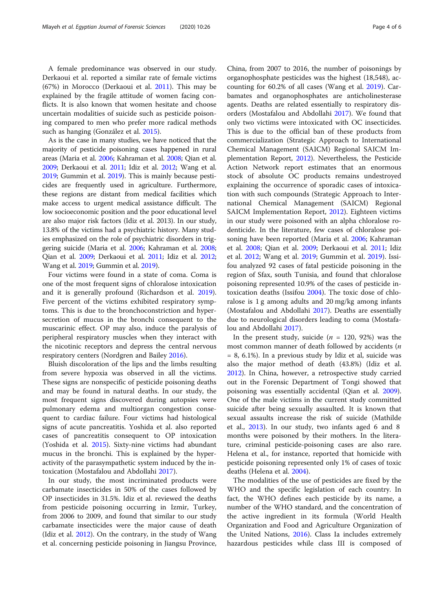A female predominance was observed in our study. Derkaoui et al. reported a similar rate of female victims (67%) in Morocco (Derkaoui et al. [2011\)](#page-5-0). This may be explained by the fragile attitude of women facing conflicts. It is also known that women hesitate and choose uncertain modalities of suicide such as pesticide poisoning compared to men who prefer more radical methods such as hanging (González et al. [2015](#page-5-0)).

As is the case in many studies, we have noticed that the majority of pesticide poisoning cases happened in rural areas (Maria et al. [2006;](#page-5-0) Kahraman et al. [2008](#page-5-0); Qian et al. [2009;](#page-5-0) Derkaoui et al. [2011;](#page-5-0) Idiz et al. [2012;](#page-5-0) Wang et al. [2019;](#page-5-0) Gummin et al. [2019\)](#page-5-0). This is mainly because pesticides are frequently used in agriculture. Furthermore, these regions are distant from medical facilities which make access to urgent medical assistance difficult. The low socioeconomic position and the poor educational level are also major risk factors (Idiz et al. 2013). In our study, 13.8% of the victims had a psychiatric history. Many studies emphasized on the role of psychiatric disorders in triggering suicide (Maria et al. [2006](#page-5-0); Kahraman et al. [2008](#page-5-0); Qian et al. [2009](#page-5-0); Derkaoui et al. [2011;](#page-5-0) Idiz et al. [2012](#page-5-0); Wang et al. [2019](#page-5-0); Gummin et al. [2019\)](#page-5-0).

Four victims were found in a state of coma. Coma is one of the most frequent signs of chloralose intoxication and it is generally profound (Richardson et al. [2019](#page-5-0)). Five percent of the victims exhibited respiratory symptoms. This is due to the bronchoconstriction and hypersecretion of mucus in the bronchi consequent to the muscarinic effect. OP may also, induce the paralysis of peripheral respiratory muscles when they interact with the nicotinic receptors and depress the central nervous respiratory centers (Nordgren and Bailey [2016](#page-5-0)).

Bluish discoloration of the lips and the limbs resulting from severe hypoxia was observed in all the victims. These signs are nonspecific of pesticide poisoning deaths and may be found in natural deaths. In our study, the most frequent signs discovered during autopsies were pulmonary edema and multiorgan congestion consequent to cardiac failure. Four victims had histological signs of acute pancreatitis. Yoshida et al. also reported cases of pancreatitis consequent to OP intoxication (Yoshida et al. [2015\)](#page-5-0). Sixty-nine victims had abundant mucus in the bronchi. This is explained by the hyperactivity of the parasympathetic system induced by the intoxication (Mostafalou and Abdollahi [2017\)](#page-5-0).

In our study, the most incriminated products were carbamate insecticides in 50% of the cases followed by OP insecticides in 31.5%. Idiz et al. reviewed the deaths from pesticide poisoning occurring in Izmir, Turkey, from 2006 to 2009, and found that similar to our study carbamate insecticides were the major cause of death (Idiz et al.  $2012$ ). On the contrary, in the study of Wang et al. concerning pesticide poisoning in Jiangsu Province,

China, from 2007 to 2016, the number of poisonings by organophosphate pesticides was the highest (18,548), accounting for 60.2% of all cases (Wang et al. [2019](#page-5-0)). Carbamates and organophosphates are anticholinesterase agents. Deaths are related essentially to respiratory disorders (Mostafalou and Abdollahi [2017](#page-5-0)). We found that only two victims were intoxicated with OC insecticides. This is due to the official ban of these products from commercialization (Strategic Approach to International Chemical Management (SAICM) Regional SAICM Implementation Report, [2012](#page-5-0)). Nevertheless, the Pesticide Action Network report estimates that an enormous stock of absolute OC products remains undestroyed explaining the occurrence of sporadic cases of intoxication with such compounds (Strategic Approach to International Chemical Management (SAICM) Regional SAICM Implementation Report, [2012](#page-5-0)). Eighteen victims in our study were poisoned with an alpha chloralose rodenticide. In the literature, few cases of chloralose poisoning have been reported (Maria et al. [2006;](#page-5-0) Kahraman et al. [2008](#page-5-0); Qian et al. [2009](#page-5-0); Derkaoui et al. [2011;](#page-5-0) Idiz et al. [2012;](#page-5-0) Wang et al. [2019](#page-5-0); Gummin et al. [2019\)](#page-5-0). Issifou analyzed 92 cases of fatal pesticide poisoning in the region of Sfax, south Tunisia, and found that chloralose poisoning represented 10.9% of the cases of pesticide intoxication deaths (Issifou [2004\)](#page-5-0). The toxic dose of chloralose is 1 g among adults and 20 mg/kg among infants (Mostafalou and Abdollahi [2017\)](#page-5-0). Deaths are essentially due to neurological disorders leading to coma (Mostafalou and Abdollahi [2017\)](#page-5-0).

In the present study, suicide ( $n = 120, 92\%$ ) was the most common manner of death followed by accidents (n = 8, 6.1%). In a previous study by Idiz et al, suicide was also the major method of death (43.8%) (Idiz et al. [2012](#page-5-0)). In China, however, a retrospective study carried out in the Forensic Department of Tongi showed that poisoning was essentially accidental (Qian et al. [2009](#page-5-0)). One of the male victims in the current study committed suicide after being sexually assaulted. It is known that sexual assaults increase the risk of suicide (Mathilde et al., [2013](#page-5-0)). In our study, two infants aged 6 and 8 months were poisoned by their mothers. In the literature, criminal pesticide-poisoning cases are also rare. Helena et al., for instance, reported that homicide with pesticide poisoning represented only 1% of cases of toxic deaths (Helena et al. [2004\)](#page-5-0).

The modalities of the use of pesticides are fixed by the WHO and the specific legislation of each country. In fact, the WHO defines each pesticide by its name, a number of the WHO standard, and the concentration of the active ingredient in its formula (World Health Organization and Food and Agriculture Organization of the United Nations, [2016\)](#page-5-0). Class Ia includes extremely hazardous pesticides while class III is composed of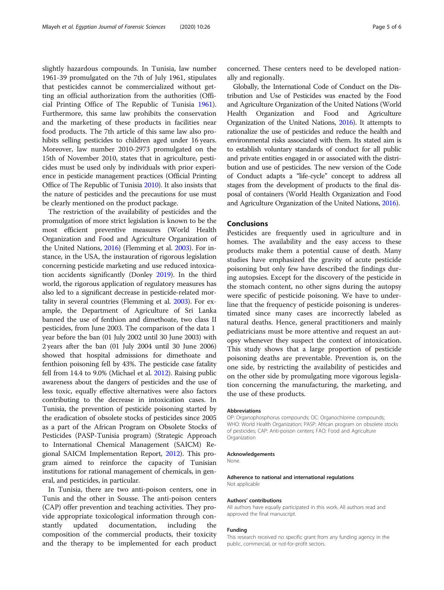slightly hazardous compounds. In Tunisia, law number 1961-39 promulgated on the 7th of July 1961, stipulates that pesticides cannot be commercialized without getting an official authorization from the authorities (Official Printing Office of The Republic of Tunisia [1961](#page-5-0)). Furthermore, this same law prohibits the conservation and the marketing of these products in facilities near food products. The 7th article of this same law also prohibits selling pesticides to children aged under 16 years. Moreover, law number 2010-2973 promulgated on the 15th of November 2010, states that in agriculture, pesticides must be used only by individuals with prior experience in pesticide management practices (Official Printing Office of The Republic of Tunisia [2010\)](#page-5-0). It also insists that the nature of pesticides and the precautions for use must be clearly mentioned on the product package.

The restriction of the availability of pesticides and the promulgation of more strict legislation is known to be the most efficient preventive measures (World Health Organization and Food and Agriculture Organization of the United Nations, [2016\)](#page-5-0) (Flemming et al. [2003\)](#page-5-0). For instance, in the USA, the instauration of rigorous legislation concerning pesticide marketing and use reduced intoxication accidents significantly (Donley [2019\)](#page-5-0). In the third world, the rigorous application of regulatory measures has also led to a significant decrease in pesticide-related mortality in several countries (Flemming et al. [2003](#page-5-0)). For example, the Department of Agriculture of Sri Lanka banned the use of fenthion and dimethoate, two class II pesticides, from June 2003. The comparison of the data 1 year before the ban (01 July 2002 until 30 June 2003) with 2 years after the ban (01 July 2004 until 30 June 2006) showed that hospital admissions for dimethoate and fenthion poisoning fell by 43%. The pesticide case fatality fell from 14.4 to 9.0% (Michael et al. [2012\)](#page-5-0). Raising public awareness about the dangers of pesticides and the use of less toxic, equally effective alternatives were also factors contributing to the decrease in intoxication cases. In Tunisia, the prevention of pesticide poisoning started by the eradication of obsolete stocks of pesticides since 2005 as a part of the African Program on Obsolete Stocks of Pesticides (PASP-Tunisia program) (Strategic Approach to International Chemical Management (SAICM) Regional SAICM Implementation Report, [2012\)](#page-5-0). This program aimed to reinforce the capacity of Tunisian institutions for rational management of chemicals, in general, and pesticides, in particular.

In Tunisia, there are two anti-poison centers, one in Tunis and the other in Sousse. The anti-poison centers (CAP) offer prevention and teaching activities. They provide appropriate toxicological information through constantly updated documentation, including the composition of the commercial products, their toxicity and the therapy to be implemented for each product

concerned. These centers need to be developed nationally and regionally.

Globally, the International Code of Conduct on the Distribution and Use of Pesticides was enacted by the Food and Agriculture Organization of the United Nations (World Health Organization and Food and Agriculture Organization of the United Nations, [2016\)](#page-5-0). It attempts to rationalize the use of pesticides and reduce the health and environmental risks associated with them. Its stated aim is to establish voluntary standards of conduct for all public and private entities engaged in or associated with the distribution and use of pesticides. The new version of the Code of Conduct adapts a "life-cycle" concept to address all stages from the development of products to the final disposal of containers (World Health Organization and Food and Agriculture Organization of the United Nations, [2016\)](#page-5-0).

## Conclusions

Pesticides are frequently used in agriculture and in homes. The availability and the easy access to these products make them a potential cause of death. Many studies have emphasized the gravity of acute pesticide poisoning but only few have described the findings during autopsies. Except for the discovery of the pesticide in the stomach content, no other signs during the autopsy were specific of pesticide poisoning. We have to underline that the frequency of pesticide poisoning is underestimated since many cases are incorrectly labeled as natural deaths. Hence, general practitioners and mainly pediatricians must be more attentive and request an autopsy whenever they suspect the context of intoxication. This study shows that a large proportion of pesticide poisoning deaths are preventable. Prevention is, on the one side, by restricting the availability of pesticides and on the other side by promulgating more vigorous legislation concerning the manufacturing, the marketing, and the use of these products.

#### Abbreviations

OP: Organophosphorus compounds; OC: Organochlorine compounds; WHO: World Health Organization; PASP: African program on obsolete stocks of pesticides; CAP: Anti-poison centers; FAO: Food and Agriculture Organization

#### Acknowledgements

None.

#### Adherence to national and international regulations Not applicable

Authors' contributions

All authors have equally participated in this work. All authors read and approved the final manuscript.

#### Funding

This research received no specific grant from any funding agency in the public, commercial, or not-for-profit sectors.